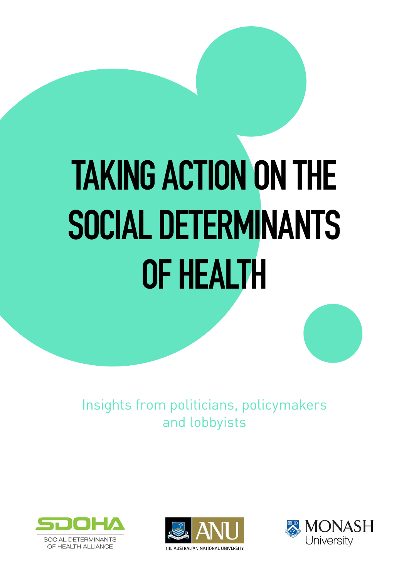# **TAKING ACTION ON THE SOCIAL DETERMINANTS OF HEALTH**

Insights from politicians, policymakers and lobbyists





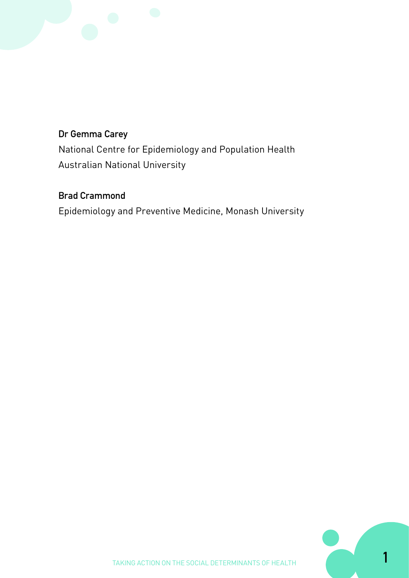#### **Dr Gemma Carey**

National Centre for Epidemiology and Population Health Australian National University

#### **Brad Crammond**

Epidemiology and Preventive Medicine, Monash University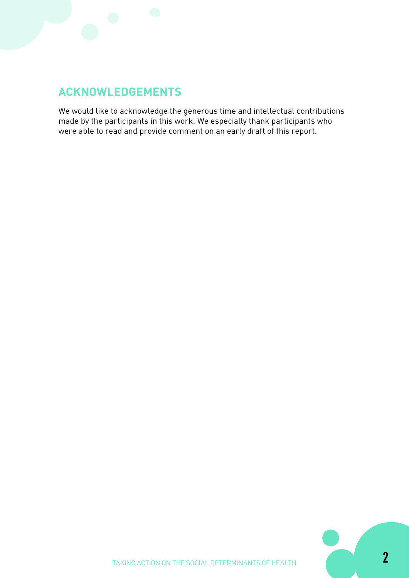

# **ACKNOWLEDGEMENTS**

We would like to acknowledge the generous time and intellectual contributions made by the participants in this work. We especially thank participants who were able to read and provide comment on an early draft of this report.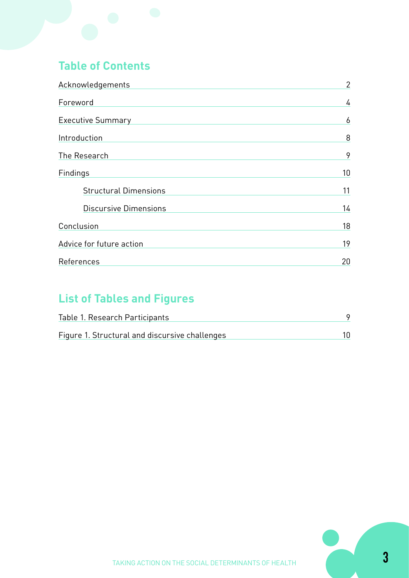# **Table of Contents**

| Acknowledgements             | $\overline{2}$ |
|------------------------------|----------------|
| Foreword                     | 4              |
| <b>Executive Summary</b>     | 6              |
| Introduction                 | 8              |
| The Research                 | 9              |
| Findings                     | 10             |
| <b>Structural Dimensions</b> | 11             |
| <b>Discursive Dimensions</b> | 14             |
| Conclusion                   | 18             |
| Advice for future action     | 19             |
| References                   | 20             |

# **List of Tables and Figures**

| Table 1. Research Participants                 |  |
|------------------------------------------------|--|
| Figure 1. Structural and discursive challenges |  |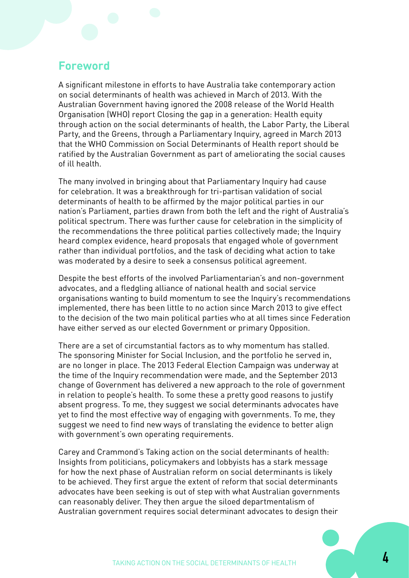#### **Foreword**

A significant milestone in efforts to have Australia take contemporary action on social determinants of health was achieved in March of 2013. With the Australian Government having ignored the 2008 release of the World Health Organisation (WHO) report Closing the gap in a generation: Health equity through action on the social determinants of health, the Labor Party, the Liberal Party, and the Greens, through a Parliamentary Inquiry, agreed in March 2013 that the WHO Commission on Social Determinants of Health report should be ratified by the Australian Government as part of ameliorating the social causes of ill health.

The many involved in bringing about that Parliamentary Inquiry had cause for celebration. It was a breakthrough for tri-partisan validation of social determinants of health to be affirmed by the major political parties in our nation's Parliament, parties drawn from both the left and the right of Australia's political spectrum. There was further cause for celebration in the simplicity of the recommendations the three political parties collectively made; the Inquiry heard complex evidence, heard proposals that engaged whole of government rather than individual portfolios, and the task of deciding what action to take was moderated by a desire to seek a consensus political agreement.

Despite the best efforts of the involved Parliamentarian's and non-government advocates, and a fledgling alliance of national health and social service organisations wanting to build momentum to see the Inquiry's recommendations implemented, there has been little to no action since March 2013 to give effect to the decision of the two main political parties who at all times since Federation have either served as our elected Government or primary Opposition.

There are a set of circumstantial factors as to why momentum has stalled. The sponsoring Minister for Social Inclusion, and the portfolio he served in, are no longer in place. The 2013 Federal Election Campaign was underway at the time of the Inquiry recommendation were made, and the September 2013 change of Government has delivered a new approach to the role of government in relation to people's health. To some these a pretty good reasons to justify absent progress. To me, they suggest we social determinants advocates have yet to find the most effective way of engaging with governments. To me, they suggest we need to find new ways of translating the evidence to better align with government's own operating requirements.

Carey and Crammond's Taking action on the social determinants of health: Insights from politicians, policymakers and lobbyists has a stark message for how the next phase of Australian reform on social determinants is likely to be achieved. They first argue the extent of reform that social determinants advocates have been seeking is out of step with what Australian governments can reasonably deliver. They then argue the siloed departmentalism of Australian government requires social determinant advocates to design their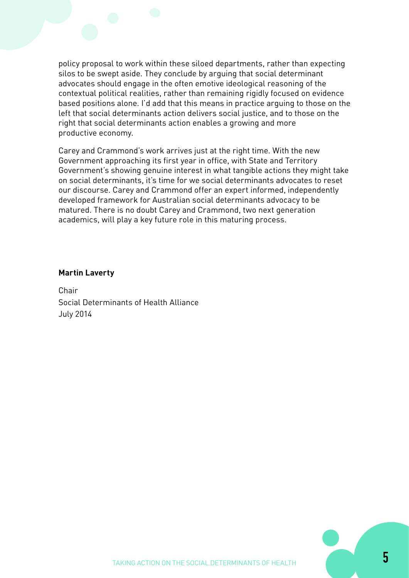

policy proposal to work within these siloed departments, rather than expecting silos to be swept aside. They conclude by arguing that social determinant advocates should engage in the often emotive ideological reasoning of the contextual political realities, rather than remaining rigidly focused on evidence based positions alone. I'd add that this means in practice arguing to those on the left that social determinants action delivers social justice, and to those on the right that social determinants action enables a growing and more productive economy.

Carey and Crammond's work arrives just at the right time. With the new Government approaching its first year in office, with State and Territory Government's showing genuine interest in what tangible actions they might take on social determinants, it's time for we social determinants advocates to reset our discourse. Carey and Crammond offer an expert informed, independently developed framework for Australian social determinants advocacy to be matured. There is no doubt Carey and Crammond, two next generation academics, will play a key future role in this maturing process.

#### **Martin Laverty**

Chair Social Determinants of Health Alliance July 2014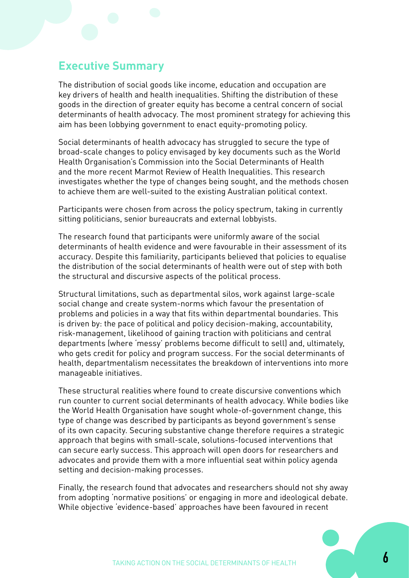# **Executive Summary**

The distribution of social goods like income, education and occupation are key drivers of health and health inequalities. Shifting the distribution of these goods in the direction of greater equity has become a central concern of social determinants of health advocacy. The most prominent strategy for achieving this aim has been lobbying government to enact equity-promoting policy.

Social determinants of health advocacy has struggled to secure the type of broad-scale changes to policy envisaged by key documents such as the World Health Organisation's Commission into the Social Determinants of Health and the more recent Marmot Review of Health Inequalities. This research investigates whether the type of changes being sought, and the methods chosen to achieve them are well-suited to the existing Australian political context.

Participants were chosen from across the policy spectrum, taking in currently sitting politicians, senior bureaucrats and external lobbyists.

The research found that participants were uniformly aware of the social determinants of health evidence and were favourable in their assessment of its accuracy. Despite this familiarity, participants believed that policies to equalise the distribution of the social determinants of health were out of step with both the structural and discursive aspects of the political process.

Structural limitations, such as departmental silos, work against large-scale social change and create system-norms which favour the presentation of problems and policies in a way that fits within departmental boundaries. This is driven by: the pace of political and policy decision-making, accountability, risk-management, likelihood of gaining traction with politicians and central departments (where 'messy' problems become difficult to sell) and, ultimately, who gets credit for policy and program success. For the social determinants of health, departmentalism necessitates the breakdown of interventions into more manageable initiatives.

These structural realities where found to create discursive conventions which run counter to current social determinants of health advocacy. While bodies like the World Health Organisation have sought whole-of-government change, this type of change was described by participants as beyond government's sense of its own capacity. Securing substantive change therefore requires a strategic approach that begins with small-scale, solutions-focused interventions that can secure early success. This approach will open doors for researchers and advocates and provide them with a more influential seat within policy agenda setting and decision-making processes.

Finally, the research found that advocates and researchers should not shy away from adopting 'normative positions' or engaging in more and ideological debate. While objective 'evidence-based' approaches have been favoured in recent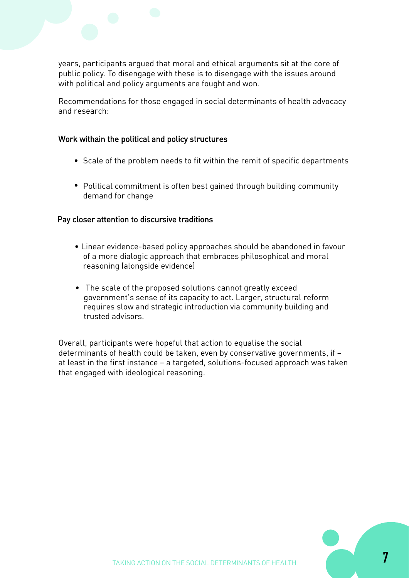years, participants argued that moral and ethical arguments sit at the core of public policy. To disengage with these is to disengage with the issues around with political and policy arguments are fought and won.

Recommendations for those engaged in social determinants of health advocacy and research:

#### Work withain the political and policy structures

- Scale of the problem needs to fit within the remit of specific departments
- Political commitment is often best gained through building community demand for change

#### Pay closer attention to discursive traditions

- Linear evidence-based policy approaches should be abandoned in favour of a more dialogic approach that embraces philosophical and moral reasoning (alongside evidence)
- The scale of the proposed solutions cannot greatly exceed government's sense of its capacity to act. Larger, structural reform requires slow and strategic introduction via community building and trusted advisors.

Overall, participants were hopeful that action to equalise the social determinants of health could be taken, even by conservative governments, if – at least in the first instance – a targeted, solutions-focused approach was taken that engaged with ideological reasoning.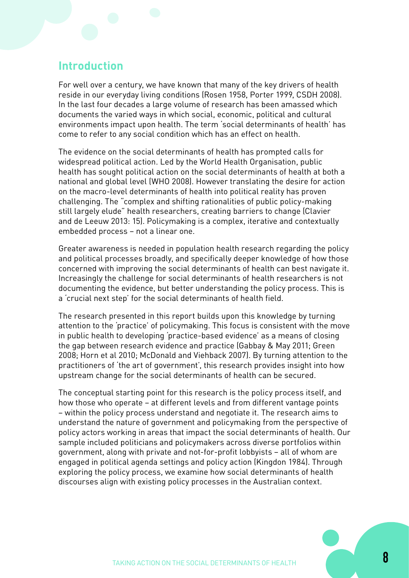#### **Introduction**

For well over a century, we have known that many of the key drivers of health reside in our everyday living conditions (Rosen 1958, Porter 1999, CSDH 2008). In the last four decades a large volume of research has been amassed which documents the varied ways in which social, economic, political and cultural environments impact upon health. The term 'social determinants of health' has come to refer to any social condition which has an effect on health.

The evidence on the social determinants of health has prompted calls for widespread political action. Led by the World Health Organisation, public health has sought political action on the social determinants of health at both a national and global level (WHO 2008). However translating the desire for action on the macro-level determinants of health into political reality has proven challenging. The "complex and shifting rationalities of public policy-making still largely elude" health researchers, creating barriers to change (Clavier and de Leeuw 2013: 15). Policymaking is a complex, iterative and contextually embedded process – not a linear one.

Greater awareness is needed in population health research regarding the policy and political processes broadly, and specifically deeper knowledge of how those concerned with improving the social determinants of health can best navigate it. Increasingly the challenge for social determinants of health researchers is not documenting the evidence, but better understanding the policy process. This is a 'crucial next step' for the social determinants of health field.

The research presented in this report builds upon this knowledge by turning attention to the 'practice' of policymaking. This focus is consistent with the move in public health to developing 'practice-based evidence' as a means of closing the gap between research evidence and practice (Gabbay & May 2011; Green 2008; Horn et al 2010; McDonald and Viehback 2007). By turning attention to the practitioners of 'the art of government', this research provides insight into how upstream change for the social determinants of health can be secured.

The conceptual starting point for this research is the policy process itself, and how those who operate – at different levels and from different vantage points – within the policy process understand and negotiate it. The research aims to understand the nature of government and policymaking from the perspective of policy actors working in areas that impact the social determinants of health. Our sample included politicians and policymakers across diverse portfolios within government, along with private and not-for-profit lobbyists – all of whom are engaged in political agenda settings and policy action (Kingdon 1984). Through exploring the policy process, we examine how social determinants of health discourses align with existing policy processes in the Australian context.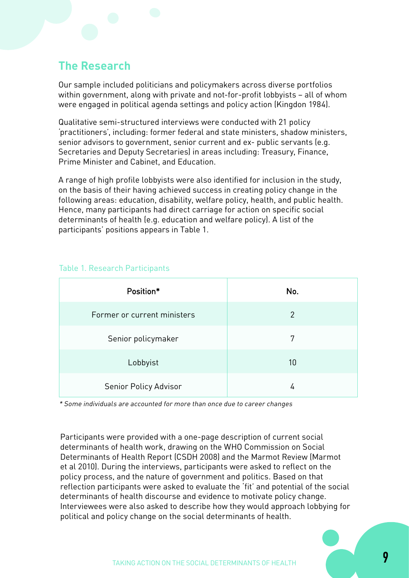## **The Research**

Our sample included politicians and policymakers across diverse portfolios within government, along with private and not-for-profit lobbyists – all of whom were engaged in political agenda settings and policy action (Kingdon 1984).

Qualitative semi-structured interviews were conducted with 21 policy 'practitioners', including: former federal and state ministers, shadow ministers, senior advisors to government, senior current and ex- public servants (e.g. Secretaries and Deputy Secretaries) in areas including: Treasury, Finance, Prime Minister and Cabinet, and Education.

A range of high profile lobbyists were also identified for inclusion in the study, on the basis of their having achieved success in creating policy change in the following areas: education, disability, welfare policy, health, and public health. Hence, many participants had direct carriage for action on specific social determinants of health (e.g. education and welfare policy). A list of the participants' positions appears in Table 1.

| Position*                   | No.            |
|-----------------------------|----------------|
| Former or current ministers | $\overline{2}$ |
| Senior policymaker          | 7              |
| Lobbyist                    | 10             |
| Senior Policy Advisor       | 4              |

#### Table 1. Research Participants

\* Some individuals are accounted for more than once due to career changes

Participants were provided with a one-page description of current social determinants of health work, drawing on the WHO Commission on Social Determinants of Health Report (CSDH 2008) and the Marmot Review (Marmot et al 2010). During the interviews, participants were asked to reflect on the policy process, and the nature of government and politics. Based on that reflection participants were asked to evaluate the 'fit' and potential of the social determinants of health discourse and evidence to motivate policy change. Interviewees were also asked to describe how they would approach lobbying for political and policy change on the social determinants of health.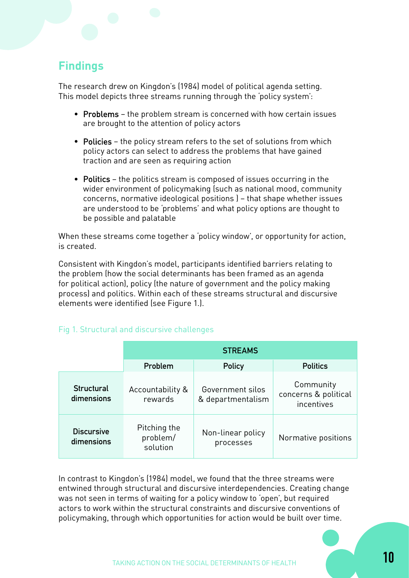# **Findings**

The research drew on Kingdon's (1984) model of political agenda setting. This model depicts three streams running through the 'policy system':

- Problems the problem stream is concerned with how certain issues are brought to the attention of policy actors
- Policies the policy stream refers to the set of solutions from which policy actors can select to address the problems that have gained traction and are seen as requiring action
- Politics the politics stream is composed of issues occurring in the wider environment of policymaking (such as national mood, community concerns, normative ideological positions ) – that shape whether issues are understood to be 'problems' and what policy options are thought to be possible and palatable

When these streams come together a 'policy window', or opportunity for action, is created.

Consistent with Kingdon's model, participants identified barriers relating to the problem (how the social determinants has been framed as an agenda for political action), policy (the nature of government and the policy making process) and politics. Within each of these streams structural and discursive elements were identified (see Figure 1.).

#### Fig 1. Structural and discursive challenges

|                                 | <b>STREAMS</b>                       |                                       |                                                 |
|---------------------------------|--------------------------------------|---------------------------------------|-------------------------------------------------|
|                                 | Problem                              | <b>Policy</b>                         | <b>Politics</b>                                 |
| <b>Structural</b><br>dimensions | Accountability &<br>rewards          | Government silos<br>& departmentalism | Community<br>concerns & political<br>incentives |
| <b>Discursive</b><br>dimensions | Pitching the<br>problem/<br>solution | Non-linear policy<br>processes        | Normative positions                             |

In contrast to Kingdon's (1984) model, we found that the three streams were entwined through structural and discursive interdependencies. Creating change was not seen in terms of waiting for a policy window to 'open', but required actors to work within the structural constraints and discursive conventions of policymaking, through which opportunities for action would be built over time.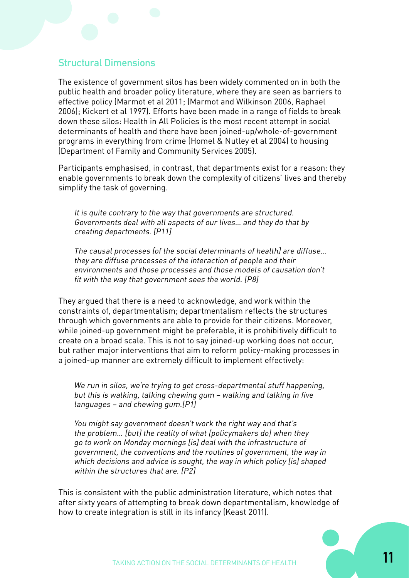#### **Structural Dimensions**

The existence of government silos has been widely commented on in both the public health and broader policy literature, where they are seen as barriers to effective policy (Marmot et al 2011; (Marmot and Wilkinson 2006, Raphael 2006); Kickert et al 1997). Efforts have been made in a range of fields to break down these silos: Health in All Policies is the most recent attempt in social determinants of health and there have been joined-up/whole-of-government programs in everything from crime (Homel & Nutley et al 2004) to housing (Department of Family and Community Services 2005).

Participants emphasised, in contrast, that departments exist for a reason: they enable governments to break down the complexity of citizens' lives and thereby simplify the task of governing.

It is quite contrary to the way that governments are structured. Governments deal with all aspects of our lives… and they do that by creating departments. [P11]

The causal processes [of the social determinants of health] are diffuse… they are diffuse processes of the interaction of people and their environments and those processes and those models of causation don't fit with the way that government sees the world. [P8]

They argued that there is a need to acknowledge, and work within the constraints of, departmentalism; departmentalism reflects the structures through which governments are able to provide for their citizens. Moreover, while joined-up government might be preferable, it is prohibitively difficult to create on a broad scale. This is not to say joined-up working does not occur, but rather major interventions that aim to reform policy-making processes in a joined-up manner are extremely difficult to implement effectively:

We run in silos, we're trying to get cross-departmental stuff happening, but this is walking, talking chewing gum – walking and talking in five languages – and chewing gum.[P1]

You might say government doesn't work the right way and that's the problem… [but] the reality of what [policymakers do] when they go to work on Monday mornings [is] deal with the infrastructure of government, the conventions and the routines of government, the way in which decisions and advice is sought, the way in which policy [is] shaped within the structures that are. [P2]

This is consistent with the public administration literature, which notes that after sixty years of attempting to break down departmentalism, knowledge of how to create integration is still in its infancy (Keast 2011).

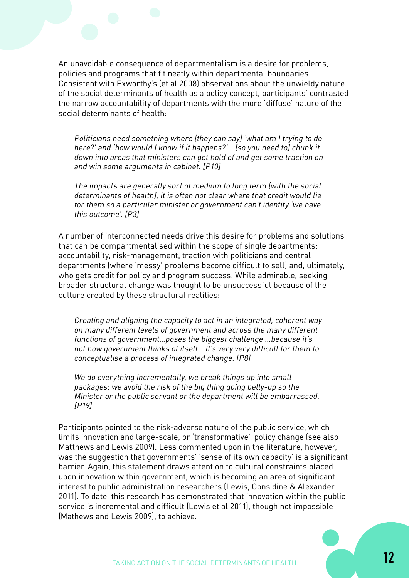An unavoidable consequence of departmentalism is a desire for problems, policies and programs that fit neatly within departmental boundaries. Consistent with Exworthy's (et al 2008) observations about the unwieldy nature of the social determinants of health as a policy concept, participants' contrasted the narrow accountability of departments with the more 'diffuse' nature of the social determinants of health:

Politicians need something where [they can say] 'what am I trying to do here?' and 'how would I know if it happens?'… [so you need to] chunk it down into areas that ministers can get hold of and get some traction on and win some arguments in cabinet. [P10]

The impacts are generally sort of medium to long term [with the social determinants of health], it is often not clear where that credit would lie for them so a particular minister or government can't identify 'we have this outcome'. [P3]

A number of interconnected needs drive this desire for problems and solutions that can be compartmentalised within the scope of single departments: accountability, risk-management, traction with politicians and central departments (where 'messy' problems become difficult to sell) and, ultimately, who gets credit for policy and program success. While admirable, seeking broader structural change was thought to be unsuccessful because of the culture created by these structural realities:

Creating and aligning the capacity to act in an integrated, coherent way on many different levels of government and across the many different functions of government…poses the biggest challenge …because it's not how government thinks of itself… It's very very difficult for them to conceptualise a process of integrated change. [P8]

We do everything incrementally, we break things up into small packages: we avoid the risk of the big thing going belly-up so the Minister or the public servant or the department will be embarrassed. [P19]

Participants pointed to the risk-adverse nature of the public service, which limits innovation and large-scale, or 'transformative', policy change (see also Matthews and Lewis 2009). Less commented upon in the literature, however, was the suggestion that governments' 'sense of its own capacity' is a significant barrier. Again, this statement draws attention to cultural constraints placed upon innovation within government, which is becoming an area of significant interest to public administration researchers (Lewis, Considine & Alexander 2011). To date, this research has demonstrated that innovation within the public service is incremental and difficult (Lewis et al 2011), though not impossible (Mathews and Lewis 2009), to achieve.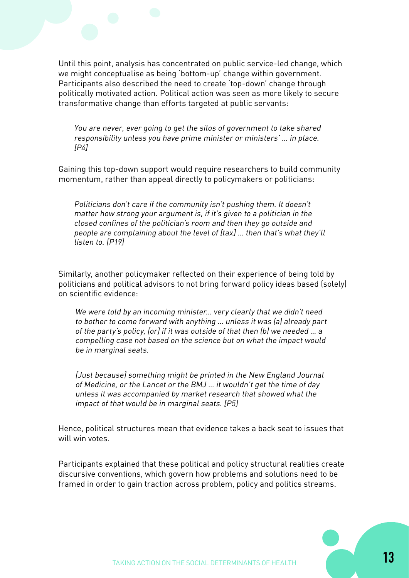Until this point, analysis has concentrated on public service-led change, which we might conceptualise as being 'bottom-up' change within government. Participants also described the need to create 'top-down' change through politically motivated action. Political action was seen as more likely to secure transformative change than efforts targeted at public servants:

You are never, ever going to get the silos of government to take shared responsibility unless you have prime minister or ministers' … in place.  $[PA]$ 

Gaining this top-down support would require researchers to build community momentum, rather than appeal directly to policymakers or politicians:

Politicians don't care if the community isn't pushing them. It doesn't matter how strong your argument is, if it's given to a politician in the closed confines of the politician's room and then they go outside and people are complaining about the level of [tax] … then that's what they'll listen to. [P19]

Similarly, another policymaker reflected on their experience of being told by politicians and political advisors to not bring forward policy ideas based (solely) on scientific evidence:

We were told by an incoming minister... very clearly that we didn't need to bother to come forward with anything … unless it was (a) already part of the party's policy, [or] if it was outside of that then (b) we needed … a compelling case not based on the science but on what the impact would be in marginal seats.

[Just because] something might be printed in the New England Journal of Medicine, or the Lancet or the BMJ … it wouldn't get the time of day unless it was accompanied by market research that showed what the impact of that would be in marginal seats. [P5]

Hence, political structures mean that evidence takes a back seat to issues that will win votes.

Participants explained that these political and policy structural realities create discursive conventions, which govern how problems and solutions need to be framed in order to gain traction across problem, policy and politics streams.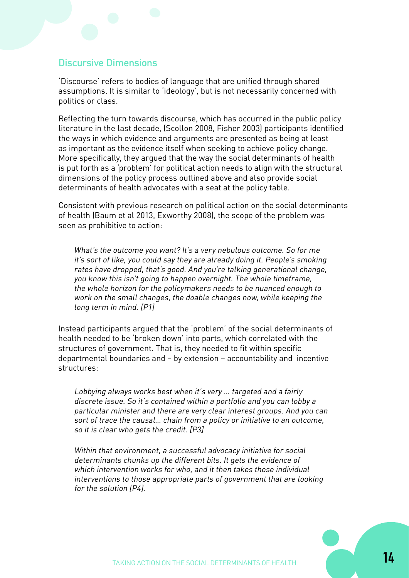#### **Discursive Dimensions**

'Discourse' refers to bodies of language that are unified through shared assumptions. It is similar to 'ideology', but is not necessarily concerned with politics or class.

Reflecting the turn towards discourse, which has occurred in the public policy literature in the last decade, (Scollon 2008, Fisher 2003) participants identified the ways in which evidence and arguments are presented as being at least as important as the evidence itself when seeking to achieve policy change. More specifically, they argued that the way the social determinants of health is put forth as a 'problem' for political action needs to align with the structural dimensions of the policy process outlined above and also provide social determinants of health advocates with a seat at the policy table.

Consistent with previous research on political action on the social determinants of health (Baum et al 2013, Exworthy 2008), the scope of the problem was seen as prohibitive to action:

What's the outcome you want? It's a very nebulous outcome. So for me it's sort of like, you could say they are already doing it. People's smoking rates have dropped, that's good. And you're talking generational change, you know this isn't going to happen overnight. The whole timeframe, the whole horizon for the policymakers needs to be nuanced enough to work on the small changes, the doable changes now, while keeping the long term in mind. [P1]

Instead participants argued that the 'problem' of the social determinants of health needed to be 'broken down' into parts, which correlated with the structures of government. That is, they needed to fit within specific departmental boundaries and – by extension – accountability and incentive structures:

Lobbying always works best when it's very … targeted and a fairly discrete issue. So it's contained within a portfolio and you can lobby a particular minister and there are very clear interest groups. And you can sort of trace the causal… chain from a policy or initiative to an outcome, so it is clear who gets the credit. [P3]

Within that environment, a successful advocacy initiative for social determinants chunks up the different bits. It gets the evidence of which intervention works for who, and it then takes those individual interventions to those appropriate parts of government that are looking for the solution [P4].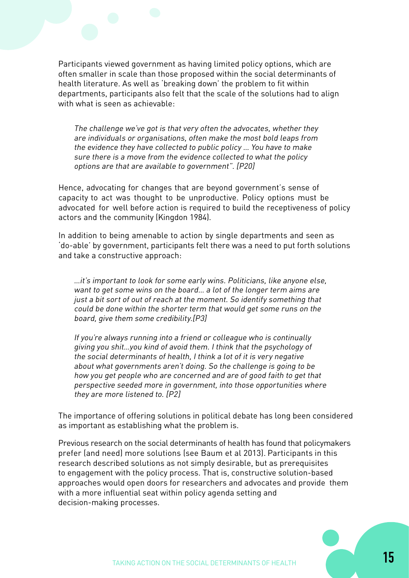Participants viewed government as having limited policy options, which are often smaller in scale than those proposed within the social determinants of health literature. As well as 'breaking down' the problem to fit within departments, participants also felt that the scale of the solutions had to align with what is seen as achievable:

The challenge we've got is that very often the advocates, whether they are individuals or organisations, often make the most bold leaps from the evidence they have collected to public policy … You have to make sure there is a move from the evidence collected to what the policy options are that are available to government". [P20]

Hence, advocating for changes that are beyond government's sense of capacity to act was thought to be unproductive. Policy options must be advocated for well before action is required to build the receptiveness of policy actors and the community (Kingdon 1984).

In addition to being amenable to action by single departments and seen as 'do-able' by government, participants felt there was a need to put forth solutions and take a constructive approach:

…it's important to look for some early wins. Politicians, like anyone else, want to get some wins on the board… a lot of the longer term aims are just a bit sort of out of reach at the moment. So identify something that could be done within the shorter term that would get some runs on the board, give them some credibility.[P3]

If you're always running into a friend or colleague who is continually giving you shit…you kind of avoid them. I think that the psychology of the social determinants of health, I think a lot of it is very negative about what governments aren't doing. So the challenge is going to be how you get people who are concerned and are of good faith to get that perspective seeded more in government, into those opportunities where they are more listened to. [P2]

The importance of offering solutions in political debate has long been considered as important as establishing what the problem is.

Previous research on the social determinants of health has found that policymakers prefer (and need) more solutions (see Baum et al 2013). Participants in this research described solutions as not simply desirable, but as prerequisites to engagement with the policy process. That is, constructive solution-based approaches would open doors for researchers and advocates and provide them with a more influential seat within policy agenda setting and decision-making processes.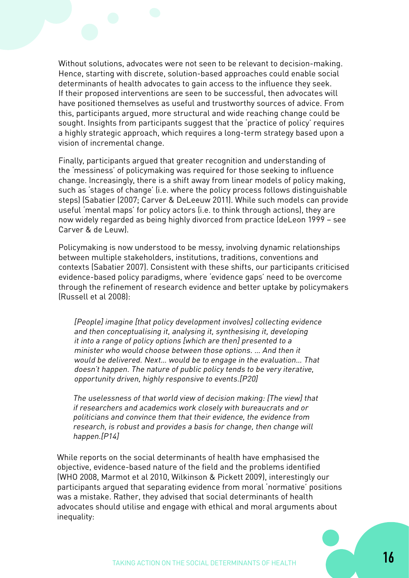Without solutions, advocates were not seen to be relevant to decision-making. Hence, starting with discrete, solution-based approaches could enable social determinants of health advocates to gain access to the influence they seek. If their proposed interventions are seen to be successful, then advocates will have positioned themselves as useful and trustworthy sources of advice. From this, participants argued, more structural and wide reaching change could be sought. Insights from participants suggest that the 'practice of policy' requires a highly strategic approach, which requires a long-term strategy based upon a vision of incremental change.

Finally, participants argued that greater recognition and understanding of the 'messiness' of policymaking was required for those seeking to influence change. Increasingly, there is a shift away from linear models of policy making, such as 'stages of change' (i.e. where the policy process follows distinguishable steps) (Sabatier (2007; Carver & DeLeeuw 2011). While such models can provide useful 'mental maps' for policy actors (i.e. to think through actions), they are now widely regarded as being highly divorced from practice (deLeon 1999 – see Carver & de Leuw).

Policymaking is now understood to be messy, involving dynamic relationships between multiple stakeholders, institutions, traditions, conventions and contexts (Sabatier 2007). Consistent with these shifts, our participants criticised evidence-based policy paradigms, where 'evidence gaps' need to be overcome through the refinement of research evidence and better uptake by policymakers (Russell et al 2008):

[People] imagine [that policy development involves] collecting evidence and then conceptualising it, analysing it, synthesising it, developing it into a range of policy options [which are then] presented to a minister who would choose between those options. … And then it would be delivered. Next… would be to engage in the evaluation… That doesn't happen. The nature of public policy tends to be very iterative, opportunity driven, highly responsive to events.[P20]

The uselessness of that world view of decision making: [The view] that if researchers and academics work closely with bureaucrats and or politicians and convince them that their evidence, the evidence from research, is robust and provides a basis for change, then change will happen.[P14]

While reports on the social determinants of health have emphasised the objective, evidence-based nature of the field and the problems identified (WHO 2008, Marmot et al 2010, Wilkinson & Pickett 2009), interestingly our participants argued that separating evidence from moral 'normative' positions was a mistake. Rather, they advised that social determinants of health advocates should utilise and engage with ethical and moral arguments about inequality: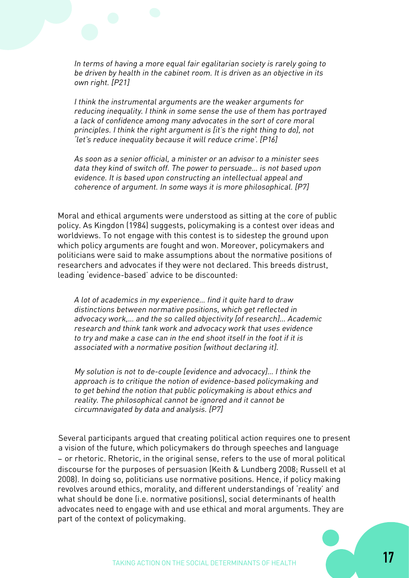In terms of having a more equal fair egalitarian society is rarely going to be driven by health in the cabinet room. It is driven as an objective in its own right. [P21]

I think the instrumental arguments are the weaker arguments for reducing inequality. I think in some sense the use of them has portrayed a lack of confidence among many advocates in the sort of core moral principles. I think the right argument is [it's the right thing to do], not 'let's reduce inequality because it will reduce crime'. [P16]

As soon as a senior official, a minister or an advisor to a minister sees data they kind of switch off. The power to persuade… is not based upon evidence. It is based upon constructing an intellectual appeal and coherence of argument. In some ways it is more philosophical. [P7]

Moral and ethical arguments were understood as sitting at the core of public policy. As Kingdon (1984) suggests, policymaking is a contest over ideas and worldviews. To not engage with this contest is to sidestep the ground upon which policy arguments are fought and won. Moreover, policymakers and politicians were said to make assumptions about the normative positions of researchers and advocates if they were not declared. This breeds distrust, leading 'evidence-based' advice to be discounted:

A lot of academics in my experience… find it quite hard to draw distinctions between normative positions, which get reflected in advocacy work,… and the so called objectivity [of research]… Academic research and think tank work and advocacy work that uses evidence to try and make a case can in the end shoot itself in the foot if it is associated with a normative position [without declaring it].

My solution is not to de-couple [evidence and advocacy]… I think the approach is to critique the notion of evidence-based policymaking and to get behind the notion that public policymaking is about ethics and reality. The philosophical cannot be ignored and it cannot be circumnavigated by data and analysis. [P7]

Several participants argued that creating political action requires one to present a vision of the future, which policymakers do through speeches and language – or rhetoric. Rhetoric, in the original sense, refers to the use of moral political discourse for the purposes of persuasion (Keith & Lundberg 2008; Russell et al 2008). In doing so, politicians use normative positions. Hence, if policy making revolves around ethics, morality, and different understandings of 'reality' and what should be done (i.e. normative positions), social determinants of health advocates need to engage with and use ethical and moral arguments. They are part of the context of policymaking.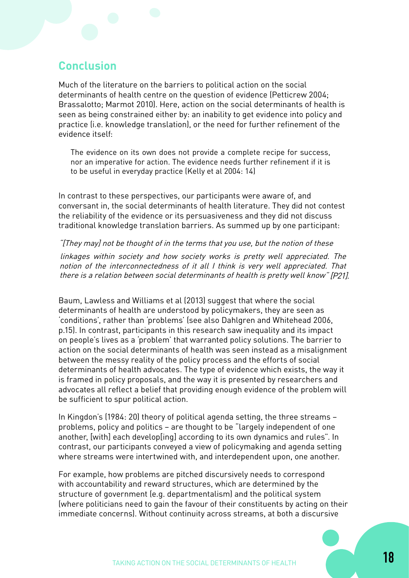# **Conclusion**

Much of the literature on the barriers to political action on the social determinants of health centre on the question of evidence (Petticrew 2004; Brassalotto; Marmot 2010). Here, action on the social determinants of health is seen as being constrained either by: an inability to get evidence into policy and practice (i.e. knowledge translation), or the need for further refinement of the evidence itself:

The evidence on its own does not provide a complete recipe for success, nor an imperative for action. The evidence needs further refinement if it is to be useful in everyday practice (Kelly et al 2004: 14)

In contrast to these perspectives, our participants were aware of, and conversant in, the social determinants of health literature. They did not contest the reliability of the evidence or its persuasiveness and they did not discuss traditional knowledge translation barriers. As summed up by one participant:

"[They may] not be thought of in the terms that you use, but the notion of these

linkages within society and how society works is pretty well appreciated. The notion of the interconnectedness of it all I think is very well appreciated. That there is a relation between social determinants of health is pretty well know" [P21].

Baum, Lawless and Williams et al (2013) suggest that where the social determinants of health are understood by policymakers, they are seen as 'conditions', rather than 'problems' (see also Dahlgren and Whitehead 2006, p.15). In contrast, participants in this research saw inequality and its impact on people's lives as a 'problem' that warranted policy solutions. The barrier to action on the social determinants of health was seen instead as a misalignment between the messy reality of the policy process and the efforts of social determinants of health advocates. The type of evidence which exists, the way it is framed in policy proposals, and the way it is presented by researchers and advocates all reflect a belief that providing enough evidence of the problem will be sufficient to spur political action.

In Kingdon's (1984: 20) theory of political agenda setting, the three streams – problems, policy and politics – are thought to be "largely independent of one another, [with] each develop[ing] according to its own dynamics and rules". In contrast, our participants conveyed a view of policymaking and agenda setting where streams were intertwined with, and interdependent upon, one another.

For example, how problems are pitched discursively needs to correspond with accountability and reward structures, which are determined by the structure of government (e.g. departmentalism) and the political system (where politicians need to gain the favour of their constituents by acting on their immediate concerns). Without continuity across streams, at both a discursive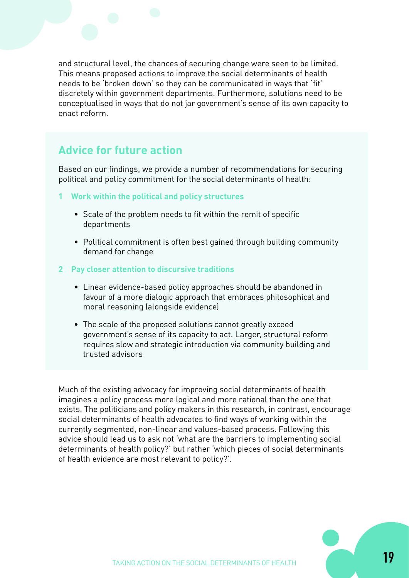and structural level, the chances of securing change were seen to be limited. This means proposed actions to improve the social determinants of health needs to be 'broken down' so they can be communicated in ways that 'fit' discretely within government departments. Furthermore, solutions need to be conceptualised in ways that do not jar government's sense of its own capacity to enact reform.

## **Advice for future action**

Based on our findings, we provide a number of recommendations for securing political and policy commitment for the social determinants of health:

- **1 Work within the political and policy structures**
	- Scale of the problem needs to fit within the remit of specific departments
	- Political commitment is often best gained through building community demand for change
- **2 Pay closer attention to discursive traditions**
	- Linear evidence-based policy approaches should be abandoned in favour of a more dialogic approach that embraces philosophical and moral reasoning (alongside evidence)
	- The scale of the proposed solutions cannot greatly exceed government's sense of its capacity to act. Larger, structural reform requires slow and strategic introduction via community building and trusted advisors

Much of the existing advocacy for improving social determinants of health imagines a policy process more logical and more rational than the one that exists. The politicians and policy makers in this research, in contrast, encourage social determinants of health advocates to find ways of working within the currently segmented, non-linear and values-based process. Following this advice should lead us to ask not 'what are the barriers to implementing social determinants of health policy?' but rather 'which pieces of social determinants of health evidence are most relevant to policy?'.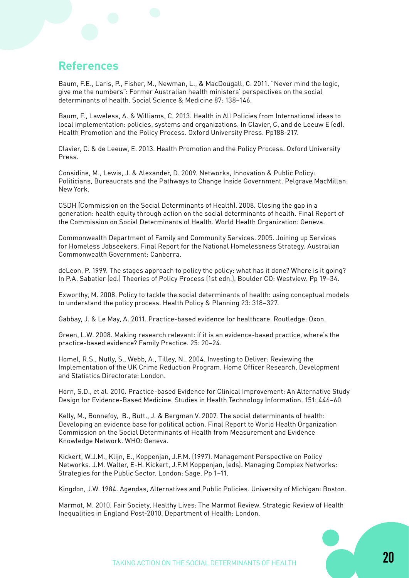#### **References**

Baum, F.E., Laris, P., Fisher, M., Newman, L., & MacDougall, C. 2011. "Never mind the logic, give me the numbers": Former Australian health ministers' perspectives on the social determinants of health. Social Science & Medicine 87: 138–146.

Baum, F., Laweless, A. & Williams, C. 2013. Health in All Policies from International ideas to local implementation: policies, systems and organizations. In Clavier, C, and de Leeuw E (ed). Health Promotion and the Policy Process. Oxford University Press. Pp188-217.

Clavier, C. & de Leeuw, E. 2013. Health Promotion and the Policy Process. Oxford University Press.

Considine, M., Lewis, J. & Alexander, D. 2009. Networks, Innovation & Public Policy: Politicians, Bureaucrats and the Pathways to Change Inside Government. Pelgrave MacMillan: New York.

CSDH (Commission on the Social Determinants of Health). 2008. Closing the gap in a generation: health equity through action on the social determinants of health. Final Report of the Commission on Social Determinants of Health. World Health Organization: Geneva.

Commonwealth Department of Family and Community Services. 2005. Joining up Services for Homeless Jobseekers. Final Report for the National Homelessness Strategy. Australian Commonwealth Government: Canberra.

deLeon, P. 1999. The stages approach to policy the policy: what has it done? Where is it going? In P.A. Sabatier (ed.) Theories of Policy Process (1st edn.). Boulder CO: Westview. Pp 19–34.

Exworthy, M. 2008. Policy to tackle the social determinants of health: using conceptual models to understand the policy process. Health Policy & Planning 23: 318–327.

Gabbay, J. & Le May, A. 2011. Practice-based evidence for healthcare. Routledge: Oxon.

Green, L.W. 2008. Making research relevant: if it is an evidence-based practice, where's the practice-based evidence? Family Practice. 25: 20–24.

Homel, R.S., Nutly, S., Webb, A., Tilley, N.. 2004. Investing to Deliver: Reviewing the Implementation of the UK Crime Reduction Program. Home Officer Research, Development and Statistics Directorate: London.

Horn, S.D., et al. 2010. Practice-based Evidence for Clinical Improvement: An Alternative Study Design for Evidence-Based Medicine. Studies in Health Technology Information. 151: 446–60.

Kelly, M., Bonnefoy, B., Butt., J. & Bergman V. 2007. The social determinants of health: Developing an evidence base for political action. Final Report to World Health Organization Commission on the Social Determinants of Health from Measurement and Evidence Knowledge Network. WHO: Geneva.

Kickert, W.J.M., Klijn, E., Koppenjan, J.F.M. (1997). Management Perspective on Policy Networks. J.M. Walter, E-H. Kickert, J.F.M Koppenjan, (eds). Managing Complex Networks: Strategies for the Public Sector. London: Sage. Pp 1–11.

Kingdon, J.W. 1984. Agendas, Alternatives and Public Policies. University of Michigan: Boston.

Marmot, M. 2010. Fair Society, Healthy Lives: The Marmot Review. Strategic Review of Health Inequalities in England Post-2010. Department of Health: London.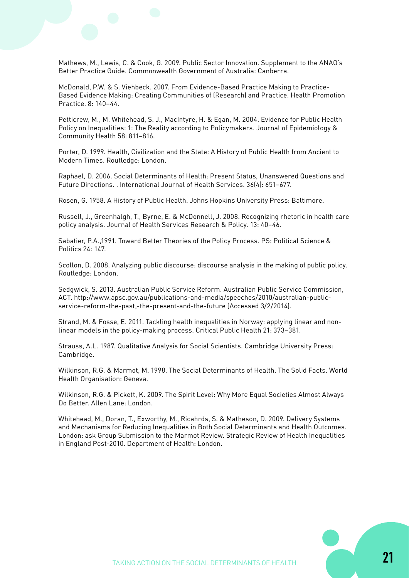Mathews, M., Lewis, C. & Cook, G. 2009. Public Sector Innovation. Supplement to the ANAO's Better Practice Guide. Commonwealth Government of Australia: Canberra.

McDonald, P.W. & S. Viehbeck. 2007. From Evidence-Based Practice Making to Practice-Based Evidence Making: Creating Communities of (Research) and Practice. Health Promotion Practice. 8: 140–44.

Petticrew, M., M. Whitehead, S. J., MacIntyre, H. & Egan, M. 2004. Evidence for Public Health Policy on Inequalities: 1: The Reality according to Policymakers. Journal of Epidemiology & Community Health 58: 811–816.

Porter, D. 1999. Health, Civilization and the State: A History of Public Health from Ancient to Modern Times. Routledge: London.

Raphael, D. 2006. Social Determinants of Health: Present Status, Unanswered Questions and Future Directions. . International Journal of Health Services. 36(4): 651–677.

Rosen, G. 1958. A History of Public Health. Johns Hopkins University Press: Baltimore.

Russell, J., Greenhalgh, T., Byrne, E. & McDonnell, J. 2008. Recognizing rhetoric in health care policy analysis. Journal of Health Services Research & Policy. 13: 40–46.

Sabatier, P.A.,1991. Toward Better Theories of the Policy Process. PS: Political Science & Politics 24: 147.

Scollon, D. 2008. Analyzing public discourse: discourse analysis in the making of public policy. Routledge: London.

Sedgwick, S. 2013. Australian Public Service Reform. Australian Public Service Commission, ACT. http://www.apsc.gov.au/publications-and-media/speeches/2010/australian-publicservice-reform-the-past,-the-present-and-the-future (Accessed 3/2/2014).

Strand, M. & Fosse, E. 2011. Tackling health inequalities in Norway: applying linear and nonlinear models in the policy-making process. Critical Public Health 21: 373–381.

Strauss, A.L. 1987. Qualitative Analysis for Social Scientists. Cambridge University Press: Cambridge.

Wilkinson, R.G. & Marmot, M. 1998. The Social Determinants of Health. The Solid Facts. World Health Organisation: Geneva.

Wilkinson, R.G. & Pickett, K. 2009. The Spirit Level: Why More Equal Societies Almost Always Do Better. Allen Lane: London.

Whitehead, M., Doran, T., Exworthy, M., Ricahrds, S. & Matheson, D. 2009. Delivery Systems and Mechanisms for Reducing Inequalities in Both Social Determinants and Health Outcomes. London: ask Group Submission to the Marmot Review. Strategic Review of Health Inequalities in England Post-2010. Department of Health: London.